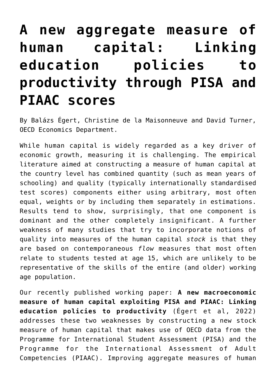# **[A new aggregate measure of](https://oecdecoscope.blog/2022/04/21/a-new-aggregate-measure-of-human-capital-linking-education-policies-to-productivity-through-pisa-and-piaac-scores/) [human capital: Linking](https://oecdecoscope.blog/2022/04/21/a-new-aggregate-measure-of-human-capital-linking-education-policies-to-productivity-through-pisa-and-piaac-scores/) [education policies to](https://oecdecoscope.blog/2022/04/21/a-new-aggregate-measure-of-human-capital-linking-education-policies-to-productivity-through-pisa-and-piaac-scores/) [productivity through PISA and](https://oecdecoscope.blog/2022/04/21/a-new-aggregate-measure-of-human-capital-linking-education-policies-to-productivity-through-pisa-and-piaac-scores/) [PIAAC scores](https://oecdecoscope.blog/2022/04/21/a-new-aggregate-measure-of-human-capital-linking-education-policies-to-productivity-through-pisa-and-piaac-scores/)**

By Balázs Égert, Christine de la Maisonneuve and David Turner, OECD Economics Department.

While human capital is widely regarded as a key driver of economic growth, measuring it is challenging. The empirical literature aimed at constructing a measure of human capital at the country level has combined quantity (such as mean years of schooling) and quality (typically internationally standardised test scores) components either using arbitrary, most often equal, weights or by including them separately in estimations. Results tend to show, surprisingly, that one component is dominant and the other completely insignificant. A further weakness of many studies that try to incorporate notions of quality into measures of the human capital *stock* is that they are based on contemporaneous *flow* measures that most often relate to students tested at age 15, which are unlikely to be representative of the skills of the entire (and older) working age population.

Our recently published working paper: **[A new macroeconomic](https://www.oecd-ilibrary.org/economics/a-new-macroeconomic-measure-of-human-capital-exploiting-pisa-and-piaac-linking-education-policies-to-productivity_a1046e2e-en) [measure of human capital exploiting PISA and PIAAC: Linking](https://www.oecd-ilibrary.org/economics/a-new-macroeconomic-measure-of-human-capital-exploiting-pisa-and-piaac-linking-education-policies-to-productivity_a1046e2e-en) [education policies to productivity](https://www.oecd-ilibrary.org/economics/a-new-macroeconomic-measure-of-human-capital-exploiting-pisa-and-piaac-linking-education-policies-to-productivity_a1046e2e-en)** (Égert et al, 2022) addresses these two weaknesses by constructing a new stock measure of human capital that makes use of OECD data from the Programme for International Student Assessment (PISA) and the Programme for the International Assessment of Adult Competencies (PIAAC). Improving aggregate measures of human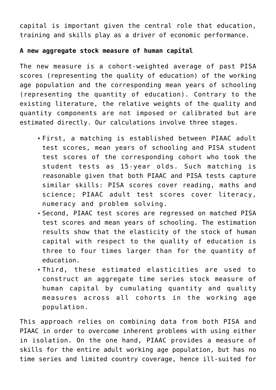capital is important given the central role that education, training and skills play as a driver of economic performance.

#### **A new aggregate stock measure of human capital**

The new measure is a cohort-weighted average of past PISA scores (representing the quality of education) of the working age population and the corresponding mean years of schooling (representing the quantity of education). Contrary to the existing literature, the relative weights of the quality and quantity components are not imposed or calibrated but are estimated directly. Our calculations involve three stages.

- First, a matching is established between PIAAC adult test scores, mean years of schooling and PISA student test scores of the corresponding cohort who took the student tests as 15-year olds. Such matching is reasonable given that both PIAAC and PISA tests capture similar skills: PISA scores cover reading, maths and science; PIAAC adult test scores cover literacy, numeracy and problem solving.
- Second, PIAAC test scores are regressed on matched PISA test scores and mean years of schooling. The estimation results show that the elasticity of the stock of human capital with respect to the quality of education is three to four times larger than for the quantity of education.
- Third, these estimated elasticities are used to construct an aggregate time series stock measure of human capital by cumulating quantity and quality measures across all cohorts in the working age population.

This approach relies on combining data from both PISA and PIAAC in order to overcome inherent problems with using either in isolation. On the one hand, PIAAC provides a measure of skills for the entire adult working age population, but has no time series and limited country coverage, hence ill-suited for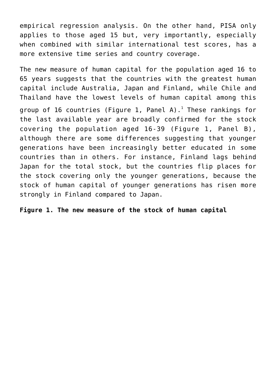empirical regression analysis. On the other hand, PISA only applies to those aged 15 but, very importantly, especially when combined with similar international test scores, has a more extensive time series and country coverage.

The new measure of human capital for the population aged 16 to 65 years suggests that the countries with the greatest human capital include Australia, Japan and Finland, while Chile and Thailand have the lowest levels of human capital among this group of [1](#page--1-0)6 countries (Figure 1, Panel A). $^{\rm 1}$  These rankings for the last available year are broadly confirmed for the stock covering the population aged 16-39 (Figure 1, Panel B), although there are some differences suggesting that younger generations have been increasingly better educated in some countries than in others. For instance, Finland lags behind Japan for the total stock, but the countries flip places for the stock covering only the younger generations, because the stock of human capital of younger generations has risen more strongly in Finland compared to Japan.

**Figure 1. The new measure of the stock of human capital**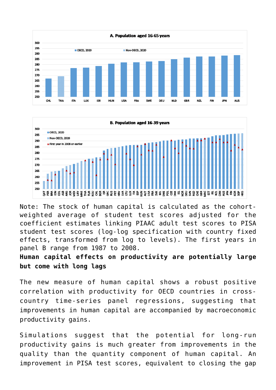



Note: The stock of human capital is calculated as the cohortweighted average of student test scores adjusted for the coefficient estimates linking PIAAC adult test scores to PISA student test scores (log-log specification with country fixed effects, transformed from log to levels). The first years in panel B range from 1987 to 2008.

### **Human capital effects on productivity are potentially large but come with long lags**

The new measure of human capital shows a robust positive correlation with productivity for OECD countries in crosscountry time-series panel regressions, suggesting that improvements in human capital are accompanied by macroeconomic productivity gains.

Simulations suggest that the potential for long-run productivity gains is much greater from improvements in the quality than the quantity component of human capital. An improvement in PISA test scores, equivalent to closing the gap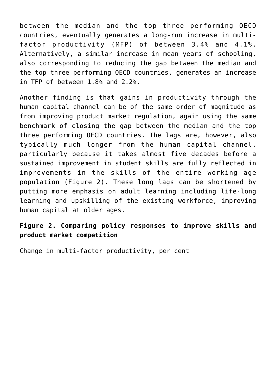between the median and the top three performing OECD countries, eventually generates a long-run increase in multifactor productivity (MFP) of between 3.4% and 4.1%. Alternatively, a similar increase in mean years of schooling, also corresponding to reducing the gap between the median and the top three performing OECD countries, generates an increase in TFP of between 1.8% and 2.2%.

Another finding is that gains in productivity through the human capital channel can be of the same order of magnitude as from improving product market regulation, again using the same benchmark of closing the gap between the median and the top three performing OECD countries. The lags are, however, also typically much longer from the human capital channel, particularly because it takes almost five decades before a sustained improvement in student skills are fully reflected in improvements in the skills of the entire working age population (Figure 2). These long lags can be shortened by putting more emphasis on adult learning including life-long learning and upskilling of the existing workforce, improving human capital at older ages.

## **Figure 2. Comparing policy responses to improve skills and product market competition**

Change in multi-factor productivity, per cent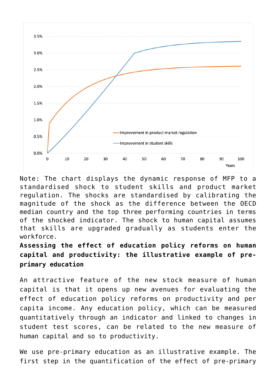

Note: The chart displays the dynamic response of MFP to a standardised shock to student skills and product market regulation. The shocks are standardised by calibrating the magnitude of the shock as the difference between the OECD median country and the top three performing countries in terms of the shocked indicator. The shock to human capital assumes that skills are upgraded gradually as students enter the workforce.

**Assessing the effect of education policy reforms on human capital and productivity: the illustrative example of preprimary education**

An attractive feature of the new stock measure of human capital is that it opens up new avenues for evaluating the effect of education policy reforms on productivity and per capita income. Any education policy, which can be measured quantitatively through an indicator and linked to changes in student test scores, can be related to the new measure of human capital and so to productivity.

We use pre-primary education as an illustrative example. The first step in the quantification of the effect of pre-primary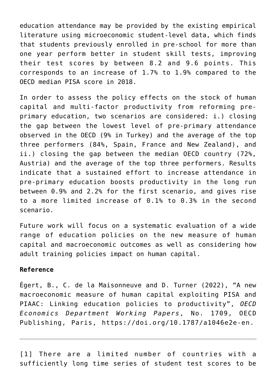education attendance may be provided by the existing empirical literature using microeconomic student-level data, which finds that students previously enrolled in pre-school for more than one year perform better in student skill tests, improving their test scores by between 8.2 and 9.6 points. This corresponds to an increase of 1.7% to 1.9% compared to the OECD median PISA score in 2018.

In order to assess the policy effects on the stock of human capital and multi-factor productivity from reforming preprimary education, two scenarios are considered: i.) closing the gap between the lowest level of pre-primary attendance observed in the OECD (9% in Turkey) and the average of the top three performers (84%, Spain, France and New Zealand), and ii.) closing the gap between the median OECD country (72%, Austria) and the average of the top three performers. Results indicate that a sustained effort to increase attendance in pre-primary education boosts productivity in the long run between 0.9% and 2.2% for the first scenario, and gives rise to a more limited increase of 0.1% to 0.3% in the second scenario.

Future work will focus on a systematic evaluation of a wide range of education policies on the new measure of human capital and macroeconomic outcomes as well as considering how adult training policies impact on human capital.

#### **Reference**

Égert, B., C. de la Maisonneuve and D. Turner (2022), "A new macroeconomic measure of human capital exploiting PISA and PIAAC: Linking education policies to productivity", *OECD Economics Department Working Papers*, No. 1709, OECD Publishing, Paris, <https://doi.org/10.1787/a1046e2e-en>.

[\[1\]](#page--1-0) There are a limited number of countries with a sufficiently long time series of student test scores to be